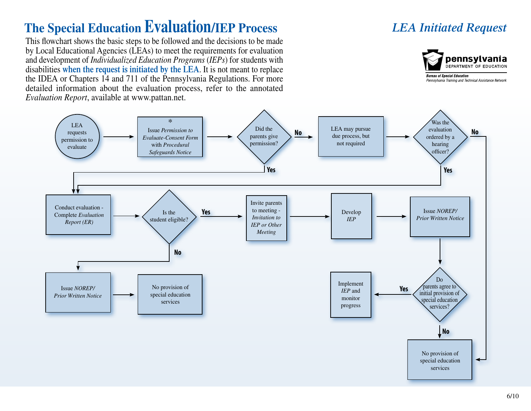## **The Special Education Evaluation/IEP Process**

This flowchart shows the basic steps to be followed and the decisions to be made by Local Educational Agencies (LEAs) to meet the requirements for evaluation and development of *Individualized Education Programs* (*IEPs*) for students with disabilities **when the request is initiated by the LEA**. It is not meant to replace the IDEA or Chapters 14 and 711 of the Pennsylvania Regulations. For more detailed information about the evaluation process, refer to the annotated *Evaluation Report*, available at www.pattan.net.

## *LEA Initiated Request*



Pennsylvania Training and Technical Assistance Network